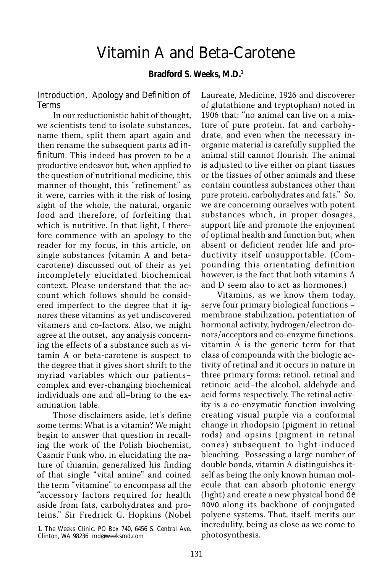# Vitamin A and Beta-Carotene

#### **Bradford S. Weeks, M.D.1**

#### Introduction, Apology and Definition of Terms

In our reductionistic habit of thought, we scientists tend to isolate substances, name them, split them apart again and then rename the subsequent parts *ad infinitum.* This indeed has proven to be a productive endeavor but, when applied to the question of nutritional medicine, this manner of thought, this "refinement" as it were, carries with it the risk of losing sight of the whole, the natural, organic food and therefore, of forfeiting that which is nutritive. In that light, I therefore commence with an apology to the reader for my focus, in this article, on single substances (vitamin A and betacarotene) discussed out of their as yet incompletely elucidated biochemical context. Please understand that the account which follows should be considered imperfect to the degree that it ignores these vitamins' as yet undiscovered vitamers and co-factors. Also, we might agree at the outset, any analysis concerning the effects of a substance such as vitamin A or beta-carotene is suspect to the degree that it gives short shrift to the myriad variables which our patients– complex and ever-changing biochemical individuals one and all–bring to the examination table.

Those disclaimers aside, let's define some terms: What is a vitamin? We might begin to answer that question in recalling the work of the Polish biochemist, Casmir Funk who, in elucidating the nature of thiamin, generalized his finding of that single "vital amine" and coined the term "vitamine" to encompass all the "accessory factors required for health aside from fats, carbohydrates and proteins." Sir Fredrick G. Hopkins (Nobel

1. The Weeks Clinic. PO Box 740, 6456 S. Central Ave. Clinton, WA 98236 md@weeksmd.com

Laureate, Medicine, 1926 and discoverer of glutathione and tryptophan) noted in 1906 that: "no animal can live on a mixture of pure protein, fat and carbohydrate, and even when the necessary inorganic material is carefully supplied the animal still cannot flourish. The animal is adjusted to live either on plant tissues or the tissues of other animals and these contain countless substances other than pure protein, carbohydrates and fats." So, we are concerning ourselves with potent substances which, in proper dosages, support life and promote the enjoyment of optimal health and function but, when absent or deficient render life and productivity itself unsupportable. (Compounding this orientating definition however, is the fact that both vitamins A and D seem also to act as hormones.)

Vitamins, as we know them today, serve four primary biological functions – membrane stabilization, potentiation of hormonal activity, hydrogen/electron donors/acceptors and co-enzyme functions. vitamin A is the generic term for that class of compounds with the biologic activity of retinal and it occurs in nature in three primary forms: retinol, retinal and retinoic acid–the alcohol, aldehyde and acid forms respectively. The retinal activity is a co-enzymatic function involving creating visual purple via a conformal change in rhodopsin (pigment in retinal rods) and opsins (pigment in retinal cones) subsequent to light-induced bleaching. Possessing a large number of double bonds, vitamin A distinguishes itself as being the only known human molecule that can absorb photonic energy (light) and create a new physical bond *de novo* along its backbone of conjugated polyene systems. That, itself, merits our incredulity, being as close as we come to photosynthesis.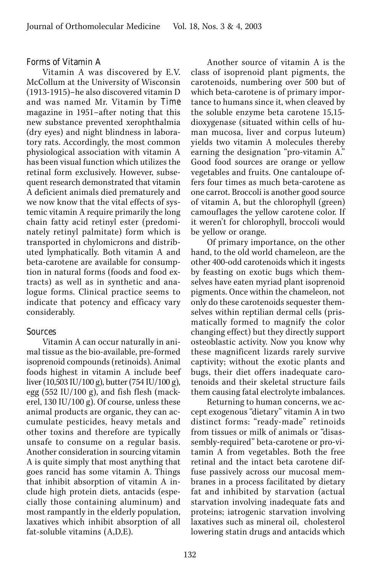#### Forms of Vitamin A

Vitamin A was discovered by E.V. McCollum at the University of Wisconsin (1913-1915)–he also discovered vitamin D and was named Mr. Vitamin by *Time* magazine in 1951–after noting that this new substance prevented xerophthalmia (dry eyes) and night blindness in laboratory rats. Accordingly, the most common physiological association with vitamin A has been visual function which utilizes the retinal form exclusively. However, subsequent research demonstrated that vitamin A deficient animals died prematurely and we now know that the vital effects of systemic vitamin A require primarily the long chain fatty acid retinyl ester (predominately retinyl palmitate) form which is transported in chylomicrons and distributed lymphatically. Both vitamin A and beta-carotene are available for consumption in natural forms (foods and food extracts) as well as in synthetic and analogue forms. Clinical practice seems to indicate that potency and efficacy vary considerably.

# Sources

Vitamin A can occur naturally in animal tissue as the bio-available, pre-formed isoprenoid compounds (retinoids). Animal foods highest in vitamin A include beef liver (10,503 IU/100 g), butter (754 IU/100 g), egg  $(552 \text{ IU}/100 \text{ g})$ , and fish flesh (mackerel, 130 IU/100 g). Of course, unless these animal products are organic, they can accumulate pesticides, heavy metals and other toxins and therefore are typically unsafe to consume on a regular basis. Another consideration in sourcing vitamin A is quite simply that most anything that goes rancid has some vitamin A. Things that inhibit absorption of vitamin A include high protein diets, antacids (especially those containing aluminum) and most rampantly in the elderly population, laxatives which inhibit absorption of all fat-soluble vitamins (A,D,E).

Another source of vitamin A is the class of isoprenoid plant pigments, the carotenoids, numbering over 500 but of which beta-carotene is of primary importance to humans since it, when cleaved by the soluble enzyme beta carotene 15,15 dioxygenase (situated within cells of human mucosa, liver and corpus luteum) yields two vitamin A molecules thereby earning the designation "pro-vitamin A." Good food sources are orange or yellow vegetables and fruits. One cantaloupe offers four times as much beta-carotene as one carrot. Broccoli is another good source of vitamin A, but the chlorophyll (green) camouflages the yellow carotene color. If it weren't for chlorophyll, broccoli would be yellow or orange.

Of primary importance, on the other hand, to the old world chameleon, are the other 400-odd carotenoids which it ingests by feasting on exotic bugs which themselves have eaten myriad plant isoprenoid pigments. Once within the chameleon, not only do these carotenoids sequester themselves within reptilian dermal cells (prismatically formed to magnify the color changing effect) but they directly support osteoblastic activity. Now you know why these magnificent lizards rarely survive captivity; without the exotic plants and bugs, their diet offers inadequate carotenoids and their skeletal structure fails them causing fatal electrolyte imbalances.

Returning to human concerns, we accept exogenous "dietary" vitamin A in two distinct forms: "ready-made" retinoids from tissues or milk of animals or "disassembly-required" beta-carotene or pro-vitamin A from vegetables. Both the free retinal and the intact beta carotene diffuse passively across our mucosal membranes in a process facilitated by dietary fat and inhibited by starvation (actual starvation involving inadequate fats and proteins; iatrogenic starvation involving laxatives such as mineral oil, cholesterol lowering statin drugs and antacids which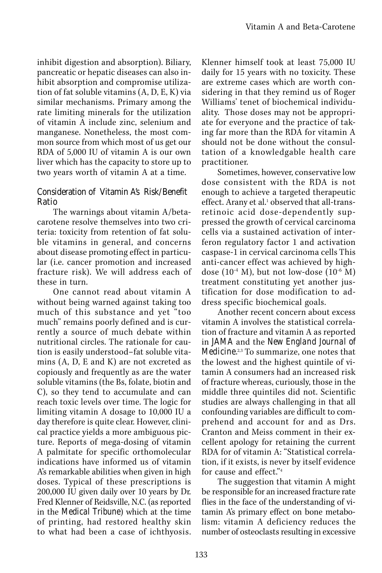inhibit digestion and absorption). Biliary, pancreatic or hepatic diseases can also inhibit absorption and compromise utilization of fat soluble vitamins (A, D, E, K) via similar mechanisms. Primary among the rate limiting minerals for the utilization of vitamin A include zinc, selenium and manganese. Nonetheless, the most common source from which most of us get our RDA of 5,000 IU of vitamin A is our own liver which has the capacity to store up to two years worth of vitamin A at a time.

# Consideration of Vitamin A's Risk/Benefit Ratio

The warnings about vitamin A/betacarotene resolve themselves into two criteria: toxicity from retention of fat soluble vitamins in general, and concerns about disease promoting effect in particular (i.e. cancer promotion and increased fracture risk). We will address each of these in turn.

One cannot read about vitamin A without being warned against taking too much of this substance and yet "too much" remains poorly defined and is currently a source of much debate within nutritional circles. The rationale for caution is easily understood–fat soluble vitamins (A, D, E and K) are not excreted as copiously and frequently as are the water soluble vitamins (the Bs, folate, biotin and C), so they tend to accumulate and can reach toxic levels over time. The logic for limiting vitamin A dosage to 10,000 IU a day therefore is quite clear. However, clinical practice yields a more ambiguous picture. Reports of mega-dosing of vitamin A palmitate for specific orthomolecular indications have informed us of vitamin A's remarkable abilities when given in high doses. Typical of these prescriptions is 200,000 IU given daily over 10 years by Dr. Fred Klenner of Reidsville, N.C. (as reported in the *Medical Tribune*) which at the time of printing, had restored healthy skin to what had been a case of ichthyosis. Klenner himself took at least 75,000 IU daily for 15 years with no toxicity. These are extreme cases which are worth considering in that they remind us of Roger Williams' tenet of biochemical individuality. Those doses may not be appropriate for everyone and the practice of taking far more than the RDA for vitamin A should not be done without the consultation of a knowledgable health care practitioner.

Sometimes, however, conservative low dose consistent with the RDA is not enough to achieve a targeted therapeutic effect. Arany et al.<sup>1</sup> observed that all-transretinoic acid dose-dependently suppressed the growth of cervical carcinoma cells via a sustained activation of interferon regulatory factor 1 and activation caspase-1 in cervical carcinoma cells This anti-cancer effect was achieved by highdose  $(10^{-4}$  M), but not low-dose  $(10^{-6}$  M) treatment constituting yet another justification for dose modification to address specific biochemical goals.

Another recent concern about excess vitamin A involves the statistical correlation of fracture and vitamin A as reported in *JAMA* and the *New England Journal of Medicine.*2,3 To summarize, one notes that the lowest and the highest quintile of vitamin A consumers had an increased risk of fracture whereas, curiously, those in the middle three quintiles did not. Scientific studies are always challenging in that all confounding variables are difficult to comprehend and account for and as Drs. Cranton and Meiss comment in their excellent apology for retaining the current RDA for of vitamin A: "Statistical correlation, if it exists, is never by itself evidence for cause and effect."4

The suggestion that vitamin A might be responsible for an increased fracture rate flies in the face of the understanding of vitamin A's primary effect on bone metabolism: vitamin A deficiency reduces the number of osteoclasts resulting in excessive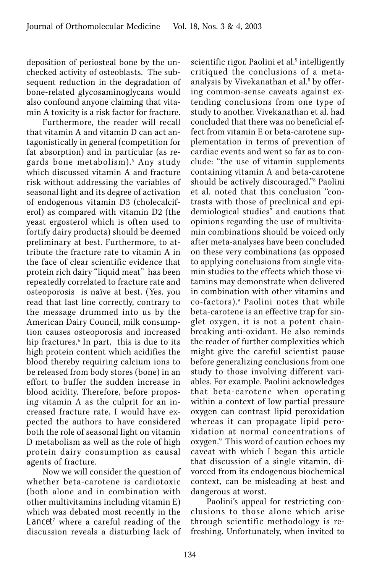deposition of periosteal bone by the unchecked activity of osteoblasts. The subsequent reduction in the degradation of bone-related glycosaminoglycans would also confound anyone claiming that vitamin A toxicity is a risk factor for fracture.

Furthermore, the reader will recall that vitamin A and vitamin D can act antagonistically in general (competition for fat absorption) and in particular (as regards bone metabolism).<sup>5</sup> Any study which discussed vitamin A and fracture risk without addressing the variables of seasonal light and its degree of activation of endogenous vitamin D3 (cholecalciferol) as compared with vitamin D2 (the yeast ergosterol which is often used to fortify dairy products) should be deemed preliminary at best. Furthermore, to attribute the fracture rate to vitamin A in the face of clear scientific evidence that protein rich dairy "liquid meat" has been repeatedly correlated to fracture rate and osteoporosis is naïve at best. (Yes, you read that last line correctly, contrary to the message drummed into us by the American Dairy Council, milk consumption causes osteoporosis and increased hip fractures.6 In part, this is due to its high protein content which acidifies the blood thereby requiring calcium ions to be released from body stores (bone) in an effort to buffer the sudden increase in blood acidity. Therefore, before proposing vitamin A as the culprit for an increased fracture rate, I would have expected the authors to have considered both the role of seasonal light on vitamin D metabolism as well as the role of high protein dairy consumption as causal agents of fracture.

Now we will consider the question of whether beta-carotene is cardiotoxic (both alone and in combination with other multivitamins including vitamin E) which was debated most recently in the *Lancet*<sup>7</sup> where a careful reading of the discussion reveals a disturbing lack of

scientific rigor. Paolini et al.<sup>9</sup> intelligently critiqued the conclusions of a metaanalysis by Vivekanathan et al.<sup>8</sup> by offering common-sense caveats against extending conclusions from one type of study to another. Vivekanathan et al. had concluded that there was no beneficial effect from vitamin E or beta-carotene supplementation in terms of prevention of cardiac events and went so far as to conclude: "the use of vitamin supplements containing vitamin A and beta-carotene should be actively discouraged."8 Paolini et al. noted that this conclusion "contrasts with those of preclinical and epidemiological studies" and cautions that opinions regarding the use of multivitamin combinations should be voiced only after meta-analyses have been concluded on these very combinations (as opposed to applying conclusions from single vitamin studies to the effects which those vitamins may demonstrate when delivered in combination with other vitamins and co-factors).9 Paolini notes that while beta-carotene is an effective trap for singlet oxygen, it is not a potent chainbreaking anti-oxidant. He also reminds the reader of further complexities which might give the careful scientist pause before generalizing conclusions from one study to those involving different variables. For example, Paolini acknowledges that beta-carotene when operating within a context of low partial pressure oxygen can contrast lipid peroxidation whereas it can propagate lipid peroxidation at normal concentrations of oxygen.<sup>9</sup> This word of caution echoes my caveat with which I began this article that discussion of a single vitamin, divorced from its endogenous biochemical context, can be misleading at best and dangerous at worst.

Paolini's appeal for restricting conclusions to those alone which arise through scientific methodology is refreshing. Unfortunately, when invited to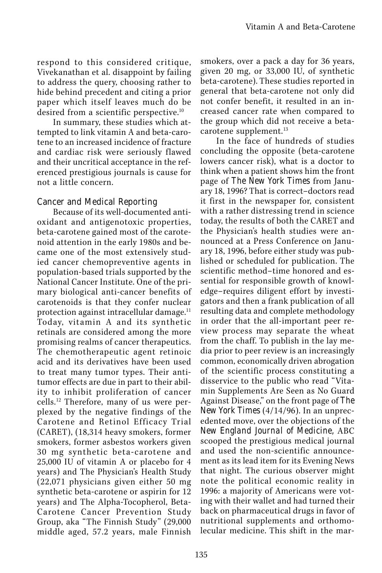respond to this considered critique, Vivekanathan et al. disappoint by failing to address the query, choosing rather to hide behind precedent and citing a prior paper which itself leaves much do be desired from a scientific perspective.10

In summary, these studies which attempted to link vitamin A and beta-carotene to an increased incidence of fracture and cardiac risk were seriously flawed and their uncritical acceptance in the referenced prestigious journals is cause for not a little concern.

# Cancer and Medical Reporting

Because of its well-documented antioxidant and antigenotoxic properties, beta-carotene gained most of the carotenoid attention in the early 1980s and became one of the most extensively studied cancer chemopreventive agents in population-based trials supported by the National Cancer Institute. One of the primary biological anti-cancer benefits of carotenoids is that they confer nuclear protection against intracellular damage.<sup>11</sup> Today, vitamin A and its synthetic retinals are considered among the more promising realms of cancer therapeutics. The chemotherapeutic agent retinoic acid and its derivatives have been used to treat many tumor types. Their antitumor effects are due in part to their ability to inhibit proliferation of cancer cells.12 Therefore, many of us were perplexed by the negative findings of the Carotene and Retinol Efficacy Trial (CARET), (18,314 heavy smokers, former smokers, former asbestos workers given 30 mg synthetic beta-carotene and 25,000 IU of vitamin A or placebo for 4 years) and The Physician's Health Study (22,071 physicians given either 50 mg synthetic beta-carotene or aspirin for 12 years) and The Alpha-Tocopherol, Beta-Carotene Cancer Prevention Study Group, aka "The Finnish Study" (29,000 middle aged, 57.2 years, male Finnish

smokers, over a pack a day for 36 years, given 20 mg, or 33,000 IU, of synthetic beta-carotene). These studies reported in general that beta-carotene not only did not confer benefit, it resulted in an increased cancer rate when compared to the group which did not receive a betacarotene supplement.<sup>13</sup>

In the face of hundreds of studies concluding the opposite (beta-carotene lowers cancer risk), what is a doctor to think when a patient shows him the front page of *The New York Times* from January 18, 1996? That is correct–doctors read it first in the newspaper for, consistent with a rather distressing trend in science today, the results of both the CARET and the Physician's health studies were announced at a Press Conference on January 18, 1996, before either study was published or scheduled for publication. The scientific method–time honored and essential for responsible growth of knowledge–requires diligent effort by investigators and then a frank publication of all resulting data and complete methodology in order that the all-important peer review process may separate the wheat from the chaff. To publish in the lay media prior to peer review is an increasingly common, economically driven abrogation of the scientific process constituting a disservice to the public who read "Vitamin Supplements Are Seen as No Guard Against Disease," on the front page of *The New York Times* (4/14/96). In an unprecedented move, over the objections of the *New England Journal of Medicine,* ABC scooped the prestigious medical journal and used the non-scientific announcement as its lead item for its Evening News that night. The curious observer might note the political economic reality in 1996: a majority of Americans were voting with their wallet and had turned their back on pharmaceutical drugs in favor of nutritional supplements and orthomolecular medicine. This shift in the mar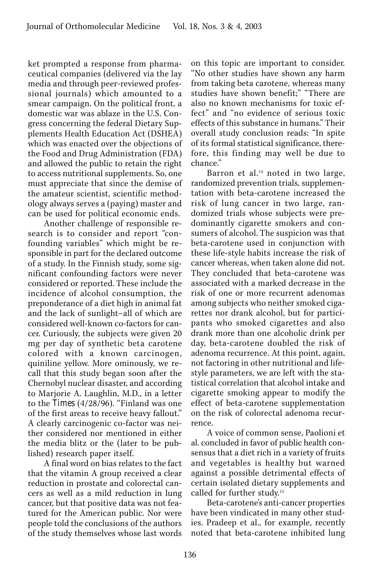ket prompted a response from pharmaceutical companies (delivered via the lay media and through peer-reviewed professional journals) which amounted to a smear campaign. On the political front, a domestic war was ablaze in the U.S. Congress concerning the federal Dietary Supplements Health Education Act (DSHEA) which was enacted over the objections of the Food and Drug Administration (FDA) and allowed the public to retain the right to access nutritional supplements. So, one must appreciate that since the demise of the amateur scientist, scientific methodology always serves a (paying) master and can be used for political economic ends.

Another challenge of responsible research is to consider and report "confounding variables" which might be responsible in part for the declared outcome of a study. In the Finnish study, some significant confounding factors were never considered or reported. These include the incidence of alcohol consumption, the preponderance of a diet high in animal fat and the lack of sunlight–all of which are considered well-known co-factors for cancer. Curiously, the subjects were given 20 mg per day of synthetic beta carotene colored with a known carcinogen, quiniline yellow. More ominously, we recall that this study began soon after the Chernobyl nuclear disaster, and according to Marjorie A. Laughlin, M.D., in a letter to the *Times* (4/28/96). "Finland was one of the first areas to receive heavy fallout." A clearly carcinogenic co-factor was neither considered nor mentioned in either the media blitz or the (later to be published) research paper itself.

A final word on bias relates to the fact that the vitamin A group received a clear reduction in prostate and colorectal cancers as well as a mild reduction in lung cancer, but that positive data was not featured for the American public. Nor were people told the conclusions of the authors of the study themselves whose last words on this topic are important to consider. "No other studies have shown any harm from taking beta carotene, whereas many studies have shown benefit;" "There are also no known mechanisms for toxic effect" and "no evidence of serious toxic effects of this substance in humans." Their overall study conclusion reads: "In spite of its formal statistical significance, therefore, this finding may well be due to chance."

Barron et al.<sup>14</sup> noted in two large, randomized prevention trials, supplementation with beta-carotene increased the risk of lung cancer in two large, randomized trials whose subjects were predominantly cigarette smokers and consumers of alcohol. The suspicion was that beta-carotene used in conjunction with these life-style habits increase the risk of cancer whereas, when taken alone did not. They concluded that beta-carotene was associated with a marked decrease in the risk of one or more recurrent adenomas among subjects who neither smoked cigarettes nor drank alcohol, but for participants who smoked cigarettes and also drank more than one alcoholic drink per day, beta-carotene doubled the risk of adenoma recurrence. At this point, again, not factoring in other nutritional and lifestyle parameters, we are left with the statistical correlation that alcohol intake and cigarette smoking appear to modify the effect of beta-carotene supplementation on the risk of colorectal adenoma recurrence.

A voice of common sense, Paolioni et al. concluded in favor of public health consensus that a diet rich in a variety of fruits and vegetables is healthy but warned against a possible detrimental effects of certain isolated dietary supplements and called for further study.15

Beta-carotene's anti-cancer properties have been vindicated in many other studies. Pradeep et al., for example, recently noted that beta-carotene inhibited lung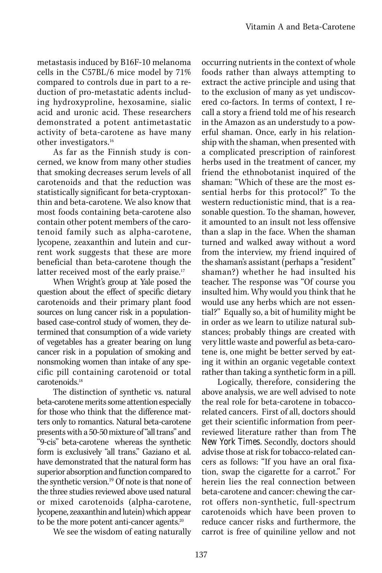metastasis induced by B16F-10 melanoma cells in the C57BL/6 mice model by 71% compared to controls due in part to a reduction of pro-metastatic adents including hydroxyproline, hexosamine, sialic acid and uronic acid. These researchers demonstrated a potent antimetastatic activity of beta-carotene as have many other investigators.16

As far as the Finnish study is concerned, we know from many other studies that smoking decreases serum levels of all carotenoids and that the reduction was statistically significant for beta-cryptoxanthin and beta-carotene. We also know that most foods containing beta-carotene also contain other potent members of the carotenoid family such as alpha-carotene, lycopene, zeaxanthin and lutein and current work suggests that these are more beneficial than beta-carotene though the latter received most of the early praise.<sup>17</sup>

When Wright's group at Yale posed the question about the effect of specific dietary carotenoids and their primary plant food sources on lung cancer risk in a populationbased case-control study of women, they determined that consumption of a wide variety of vegetables has a greater bearing on lung cancer risk in a population of smoking and nonsmoking women than intake of any specific pill containing carotenoid or total carotenoids.18

The distinction of synthetic vs. natural beta-carotene merits some attention especially for those who think that the difference matters only to romantics. Natural beta-carotene presents with a 50-50 mixture of "all trans" and "9-cis" beta-carotene whereas the synthetic form is exclusively "all trans." Gaziano et al. have demonstrated that the natural form has superior absorption and function compared to the synthetic version.<sup>19</sup> Of note is that none of the three studies reviewed above used natural or mixed carotenoids (alpha-carotene, lycopene, zeaxanthin and lutein) which appear to be the more potent anti-cancer agents.<sup>20</sup>

We see the wisdom of eating naturally

occurring nutrients in the context of whole foods rather than always attempting to extract the active principle and using that to the exclusion of many as yet undiscovered co-factors. In terms of context, I recall a story a friend told me of his research in the Amazon as an understudy to a powerful shaman. Once, early in his relationship with the shaman, when presented with a complicated prescription of rainforest herbs used in the treatment of cancer, my friend the ethnobotanist inquired of the shaman: "Which of these are the most essential herbs for this protocol?" To the western reductionistic mind, that is a reasonable question. To the shaman, however, it amounted to an insult not less offensive than a slap in the face. When the shaman turned and walked away without a word from the interview, my friend inquired of the shaman's assistant (perhaps a "resident" shaman?) whether he had insulted his teacher. The response was "Of course you insulted him. Why would you think that he would use any herbs which are not essential?" Equally so, a bit of humility might be in order as we learn to utilize natural substances; probably things are created with very little waste and powerful as beta-carotene is, one might be better served by eating it within an organic vegetable context rather than taking a synthetic form in a pill.

Logically, therefore, considering the above analysis, we are well advised to note the real role for beta-carotene in tobaccorelated cancers. First of all, doctors should get their scientific information from peerreviewed literature rather than from *The New York Times.* Secondly, doctors should advise those at risk for tobacco-related cancers as follows: "If you have an oral fixation, swap the cigarette for a carrot." For herein lies the real connection between beta-carotene and cancer: chewing the carrot offers non-synthetic, full-spectrum carotenoids which have been proven to reduce cancer risks and furthermore, the carrot is free of quiniline yellow and not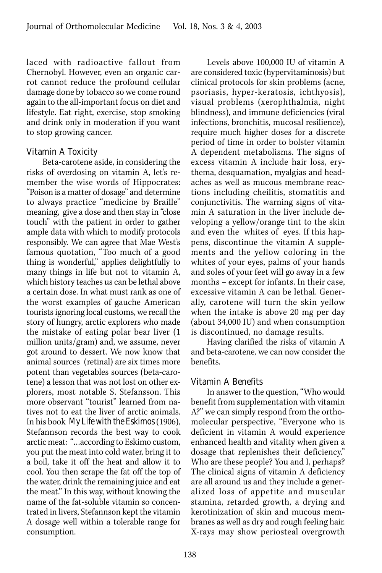laced with radioactive fallout from Chernobyl. However, even an organic carrot cannot reduce the profound cellular damage done by tobacco so we come round again to the all-important focus on diet and lifestyle. Eat right, exercise, stop smoking and drink only in moderation if you want to stop growing cancer.

#### Vitamin A Toxicity

Beta-carotene aside, in considering the risks of overdosing on vitamin A, let's remember the wise words of Hippocrates: "Poison is a matter of dosage" and determine to always practice "medicine by Braille" meaning, give a dose and then stay in "close touch" with the patient in order to gather ample data with which to modify protocols responsibly. We can agree that Mae West's famous quotation, "Too much of a good thing is wonderful," applies delightfully to many things in life but not to vitamin A, which history teaches us can be lethal above a certain dose. In what must rank as one of the worst examples of gauche American tourists ignoring local customs, we recall the story of hungry, arctic explorers who made the mistake of eating polar bear liver (1 million units/gram) and, we assume, never got around to dessert. We now know that animal sources (retinal) are six times more potent than vegetables sources (beta-carotene) a lesson that was not lost on other explorers, most notable S. Stefansson. This more observant "tourist" learned from natives not to eat the liver of arctic animals. In his book *My Life with the Eskimos* (1906), Stefannson records the best way to cook arctic meat: "…according to Eskimo custom, you put the meat into cold water, bring it to a boil, take it off the heat and allow it to cool. You then scrape the fat off the top of the water, drink the remaining juice and eat the meat." In this way, without knowing the name of the fat-soluble vitamin so concentrated in livers, Stefannson kept the vitamin A dosage well within a tolerable range for consumption.

Levels above 100,000 IU of vitamin A are considered toxic (hypervitaminosis) but clinical protocols for skin problems (acne, psoriasis, hyper-keratosis, ichthyosis), visual problems (xerophthalmia, night blindness), and immune deficiencies (viral infections, bronchitis, mucosal resilience), require much higher doses for a discrete period of time in order to bolster vitamin A dependent metabolisms. The signs of excess vitamin A include hair loss, erythema, desquamation, myalgias and headaches as well as mucous membrane reactions including cheilitis, stomatitis and conjunctivitis. The warning signs of vitamin A saturation in the liver include developing a yellow/orange tint to the skin and even the whites of eyes. If this happens, discontinue the vitamin A supplements and the yellow coloring in the whites of your eyes, palms of your hands and soles of your feet will go away in a few months – except for infants. In their case, excessive vitamin A can be lethal. Generally, carotene will turn the skin yellow when the intake is above 20 mg per day (about 34,000 IU) and when consumption is discontinued, no damage results.

Having clarified the risks of vitamin A and beta-carotene, we can now consider the benefits.

#### Vitamin A Benefits

In answer to the question, "Who would benefit from supplementation with vitamin A?" we can simply respond from the orthomolecular perspective, "Everyone who is deficient in vitamin A would experience enhanced health and vitality when given a dosage that replenishes their deficiency." Who are these people? You and I, perhaps? The clinical signs of vitamin A deficiency are all around us and they include a generalized loss of appetite and muscular stamina, retarded growth, a drying and kerotinization of skin and mucous membranes as well as dry and rough feeling hair. X-rays may show periosteal overgrowth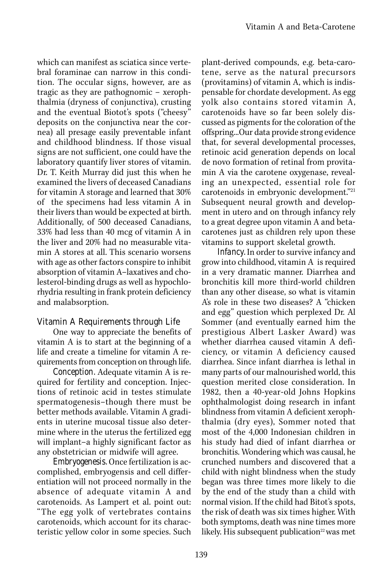which can manifest as sciatica since vertebral foraminae can narrow in this condition. The occular signs, however, are as tragic as they are pathognomic – xerophthalmia (dryness of conjunctiva), crusting and the eventual Biotot's spots ("cheesy" deposits on the conjunctiva near the cornea) all presage easily preventable infant and childhood blindness. If those visual signs are not sufficient, one could have the laboratory quantify liver stores of vitamin. Dr. T. Keith Murray did just this when he examined the livers of deceased Canadians for vitamin A storage and learned that 30% of the specimens had less vitamin A in their livers than would be expected at birth. Additionally, of 500 deceased Canadians, 33% had less than 40 mcg of vitamin A in the liver and 20% had no measurable vitamin A stores at all. This scenario worsens with age as other factors conspire to inhibit absorption of vitamin A–laxatives and cholesterol-binding drugs as well as hypochlorhydria resulting in frank protein deficiency and malabsorption.

# Vitamin A Requirements through Life

One way to appreciate the benefits of vitamin A is to start at the beginning of a life and create a timeline for vitamin A requirements from conception on through life.

*Conception.* Adequate vitamin A is required for fertility and conception. Injections of retinoic acid in testes stimulate spermatogenesis–though there must be better methods available. Vitamin A gradients in uterine mucosal tissue also determine where in the uterus the fertilized egg will implant–a highly significant factor as any obstetrician or midwife will agree.

*Embryogenesis.* Once fertilization is accomplished, embryogensis and cell differentiation will not proceed normally in the absence of adequate vitamin A and carotenoids. As Lampert et al. point out: "The egg yolk of vertebrates contains carotenoids, which account for its characteristic yellow color in some species. Such

plant-derived compounds, e.g. beta-carotene, serve as the natural precursors (provitamins) of vitamin A, which is indispensable for chordate development. As egg yolk also contains stored vitamin A, carotenoids have so far been solely discussed as pigments for the coloration of the offspring...Our data provide strong evidence that, for several developmental processes, retinoic acid generation depends on local de novo formation of retinal from provitamin A via the carotene oxygenase, revealing an unexpected, essential role for carotenoids in embryonic development."21 Subsequent neural growth and development in utero and on through infancy rely to a great degree upon vitamin A and betacarotenes just as children rely upon these vitamins to support skeletal growth.

*Infancy.* In order to survive infancy and grow into childhood, vitamin A is required in a very dramatic manner. Diarrhea and bronchitis kill more third-world children than any other disease, so what is vitamin A's role in these two diseases? A "chicken and egg" question which perplexed Dr. Al Sommer (and eventually earned him the prestigious Albert Lasker Award) was whether diarrhea caused vitamin A deficiency, or vitamin A deficiency caused diarrhea. Since infant diarrhea is lethal in many parts of our malnourished world, this question merited close consideration. In 1982, then a 40-year-old Johns Hopkins ophthalmologist doing research in infant blindness from vitamin A deficient xerophthalmia (dry eyes), Sommer noted that most of the 4,000 Indonesian children in his study had died of infant diarrhea or bronchitis. Wondering which was causal, he crunched numbers and discovered that a child with night blindness when the study began was three times more likely to die by the end of the study than a child with normal vision. If the child had Bitot's spots, the risk of death was six times higher. With both symptoms, death was nine times more likely. His subsequent publication<sup>22</sup> was met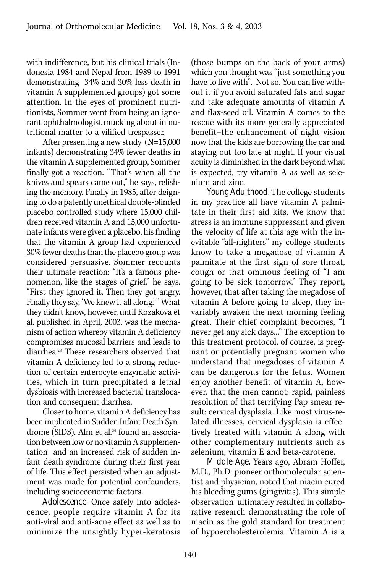with indifference, but his clinical trials (Indonesia 1984 and Nepal from 1989 to 1991 demonstrating 34% and 30% less death in vitamin A supplemented groups) got some attention. In the eyes of prominent nutritionists, Sommer went from being an ignorant ophthalmologist mucking about in nutritional matter to a vilified trespasser.

After presenting a new study (N=15,000 infants) demonstrating 34% fewer deaths in the vitamin A supplemented group, Sommer finally got a reaction. "That's when all the knives and spears came out," he says, relishing the memory. Finally in 1985, after deigning to do a patently unethical double-blinded placebo controlled study where 15,000 children received vitamin A and 15,000 unfortunate infants were given a placebo, his finding that the vitamin A group had experienced 30% fewer deaths than the placebo group was considered persuasive. Sommer recounts their ultimate reaction: "It's a famous phenomenon, like the stages of grief," he says. "First they ignored it. Then they got angry. Finally they say, 'We knew it all along.' " What they didn't know, however, until Kozakova et al. published in April, 2003, was the mechanism of action whereby vitamin A deficiency compromises mucosal barriers and leads to diarrhea.23 These researchers observed that vitamin A deficiency led to a strong reduction of certain enterocyte enzymatic activities, which in turn precipitated a lethal dysbiosis with increased bacterial translocation and consequent diarrhea.

Closer to home, vitamin A deficiency has been implicated in Sudden Infant Death Syndrome (SIDS). Alm et al.24 found an association between low or no vitamin A supplementation and an increased risk of sudden infant death syndrome during their first year of life. This effect persisted when an adjustment was made for potential confounders, including socioeconomic factors.

*Adolescence.* Once safely into adolescence, people require vitamin A for its anti-viral and anti-acne effect as well as to minimize the unsightly hyper-keratosis (those bumps on the back of your arms) which you thought was "just something you have to live with". Not so. You can live without it if you avoid saturated fats and sugar and take adequate amounts of vitamin A and flax-seed oil. Vitamin A comes to the rescue with its more generally appreciated benefit–the enhancement of night vision now that the kids are borrowing the car and staying out too late at night. If your visual acuity is diminished in the dark beyond what is expected, try vitamin A as well as selenium and zinc.

*Young Adulthood.* The college students in my practice all have vitamin A palmitate in their first aid kits. We know that stress is an immune suppressant and given the velocity of life at this age with the inevitable "all-nighters" my college students know to take a megadose of vitamin A palmitate at the first sign of sore throat, cough or that ominous feeling of "I am going to be sick tomorrow." They report, however, that after taking the megadose of vitamin A before going to sleep, they invariably awaken the next morning feeling great. Their chief complaint becomes, "I never get any sick days..." The exception to this treatment protocol, of course, is pregnant or potentially pregnant women who understand that megadoses of vitamin A can be dangerous for the fetus. Women enjoy another benefit of vitamin A, however, that the men cannot: rapid, painless resolution of that terrifying Pap smear result: cervical dysplasia. Like most virus-related illnesses, cervical dysplasia is effectively treated with vitamin A along with other complementary nutrients such as selenium, vitamin E and beta-carotene.

*Middle Age.* Years ago, Abram Hoffer, M.D., Ph.D. pioneer orthomolecular scientist and physician, noted that niacin cured his bleeding gums (gingivitis). This simple observation ultimately resulted in collaborative research demonstrating the role of niacin as the gold standard for treatment of hypoercholesterolemia. Vitamin A is a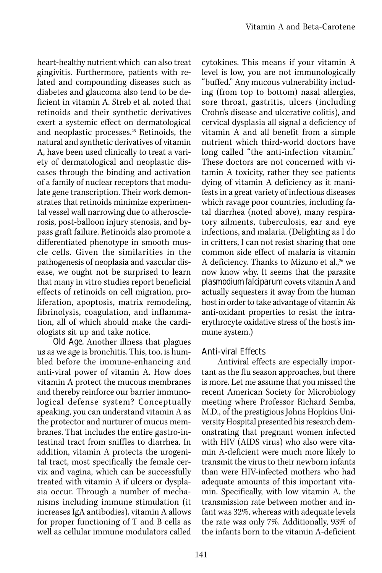heart-healthy nutrient which can also treat gingivitis. Furthermore, patients with related and compounding diseases such as diabetes and glaucoma also tend to be deficient in vitamin A. Streb et al. noted that retinoids and their synthetic derivatives exert a systemic effect on dermatological and neoplastic processes.25 Retinoids, the natural and synthetic derivatives of vitamin A, have been used clinically to treat a variety of dermatological and neoplastic diseases through the binding and activation of a family of nuclear receptors that modulate gene transcription. Their work demonstrates that retinoids minimize experimental vessel wall narrowing due to atherosclerosis, post-balloon injury stenosis, and bypass graft failure. Retinoids also promote a differentiated phenotype in smooth muscle cells. Given the similarities in the pathogenesis of neoplasia and vascular disease, we ought not be surprised to learn that many in vitro studies report beneficial effects of retinoids on cell migration, proliferation, apoptosis, matrix remodeling, fibrinolysis, coagulation, and inflammation, all of which should make the cardiologists sit up and take notice.

*Old Age.* Another illness that plagues us as we age is bronchitis. This, too, is humbled before the immune-enhancing and anti-viral power of vitamin A. How does vitamin A protect the mucous membranes and thereby reinforce our barrier immunological defense system? Conceptually speaking, you can understand vitamin A as the protector and nurturer of mucus membranes. That includes the entire gastro-intestinal tract from sniffles to diarrhea. In addition, vitamin A protects the urogenital tract, most specifically the female cervix and vagina, which can be successfully treated with vitamin A if ulcers or dysplasia occur. Through a number of mechanisms including immune stimulation (it increases IgA antibodies), vitamin A allows for proper functioning of T and B cells as well as cellular immune modulators called

cytokines. This means if your vitamin A level is low, you are not immunologically "buffed." Any mucous vulnerability including (from top to bottom) nasal allergies, sore throat, gastritis, ulcers (including Crohn's disease and ulcerative colitis), and cervical dysplasia all signal a deficiency of vitamin A and all benefit from a simple nutrient which third-world doctors have long called "the anti-infection vitamin." These doctors are not concerned with vitamin A toxicity, rather they see patients dying of vitamin A deficiency as it manifests in a great variety of infectious diseases which ravage poor countries, including fatal diarrhea (noted above), many respiratory ailments, tuberculosis, ear and eye infections, and malaria. (Delighting as I do in critters, I can not resist sharing that one common side effect of malaria is vitamin A deficiency. Thanks to Mizuno et al.,<sup>26</sup> we now know why. It seems that the parasite *plasmodium falciparum* covets vitamin A and actually sequesters it away from the human host in order to take advantage of vitamin A's anti-oxidant properties to resist the intraerythrocyte oxidative stress of the host's immune system.)

# Anti-viral Effects

Antiviral effects are especially important as the flu season approaches, but there is more. Let me assume that you missed the recent American Society for Microbiology meeting where Professor Richard Semba, M.D., of the prestigious Johns Hopkins University Hospital presented his research demonstrating that pregnant women infected with HIV (AIDS virus) who also were vitamin A-deficient were much more likely to transmit the virus to their newborn infants than were HIV-infected mothers who had adequate amounts of this important vitamin. Specifically, with low vitamin A, the transmission rate between mother and infant was 32%, whereas with adequate levels the rate was only 7%. Additionally, 93% of the infants born to the vitamin A-deficient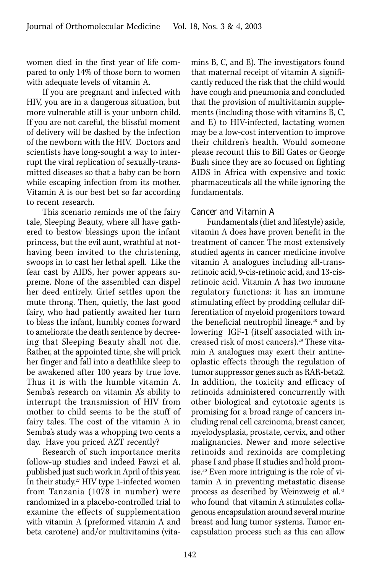women died in the first year of life compared to only 14% of those born to women with adequate levels of vitamin A.

If you are pregnant and infected with HIV, you are in a dangerous situation, but more vulnerable still is your unborn child. If you are not careful, the blissful moment of delivery will be dashed by the infection of the newborn with the HIV. Doctors and scientists have long-sought a way to interrupt the viral replication of sexually-transmitted diseases so that a baby can be born while escaping infection from its mother. Vitamin A is our best bet so far according to recent research.

This scenario reminds me of the fairy tale, Sleeping Beauty, where all have gathered to bestow blessings upon the infant princess, but the evil aunt, wrathful at nothaving been invited to the christening, swoops in to cast her lethal spell. Like the fear cast by AIDS, her power appears supreme. None of the assembled can dispel her deed entirely. Grief settles upon the mute throng. Then, quietly, the last good fairy, who had patiently awaited her turn to bless the infant, humbly comes forward to ameliorate the death sentence by decreeing that Sleeping Beauty shall not die. Rather, at the appointed time, she will prick her finger and fall into a deathlike sleep to be awakened after 100 years by true love. Thus it is with the humble vitamin A. Semba's research on vitamin A's ability to interrupt the transmission of HIV from mother to child seems to be the stuff of fairy tales. The cost of the vitamin A in Semba's study was a whopping two cents a day. Have you priced AZT recently?

Research of such importance merits follow-up studies and indeed Fawzi et al. published just such work in April of this year. In their study, $27$  HIV type 1-infected women from Tanzania (1078 in number) were randomized in a placebo-controlled trial to examine the effects of supplementation with vitamin A (preformed vitamin A and beta carotene) and/or multivitamins (vitamins B, C, and E). The investigators found that maternal receipt of vitamin A significantly reduced the risk that the child would have cough and pneumonia and concluded that the provision of multivitamin supplements (including those with vitamins B, C, and E) to HIV-infected, lactating women may be a low-cost intervention to improve their children's health. Would someone please recount this to Bill Gates or George Bush since they are so focused on fighting AIDS in Africa with expensive and toxic pharmaceuticals all the while ignoring the fundamentals.

#### Cancer and Vitamin A

Fundamentals (diet and lifestyle) aside, vitamin A does have proven benefit in the treatment of cancer. The most extensively studied agents in cancer medicine involve vitamin A analogues including all-transretinoic acid, 9-cis-retinoic acid, and 13-cisretinoic acid. Vitamin A has two immune regulatory functions: it has an immune stimulating effect by prodding cellular differentiation of myeloid progenitors toward the beneficial neutrophil lineage.<sup>28</sup> and by lowering IGF-1 (itself associated with increased risk of most cancers).<sup>29</sup> These vitamin A analogues may exert their antineoplastic effects through the regulation of tumor suppressor genes such as RAR-beta2. In addition, the toxicity and efficacy of retinoids administered concurrently with other biological and cytotoxic agents is promising for a broad range of cancers including renal cell carcinoma, breast cancer, myelodysplasia, prostate, cervix, and other malignancies. Newer and more selective retinoids and rexinoids are completing phase I and phase II studies and hold promise.30 Even more intriguing is the role of vitamin A in preventing metastatic disease process as described by Weinzweig et al.<sup>31</sup> who found that vitamin A stimulates collagenous encapsulation around several murine breast and lung tumor systems. Tumor encapsulation process such as this can allow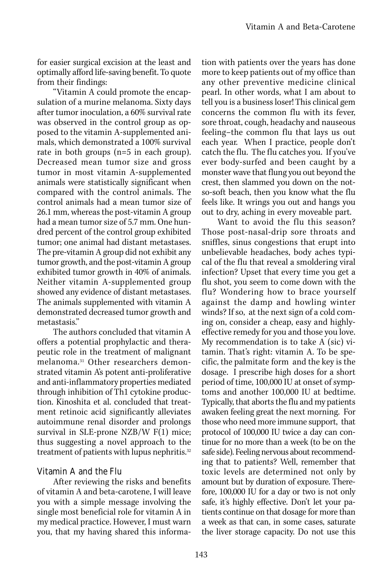for easier surgical excision at the least and optimally afford life-saving benefit. To quote from their findings:

"Vitamin A could promote the encapsulation of a murine melanoma. Sixty days after tumor inoculation, a 60% survival rate was observed in the control group as opposed to the vitamin A-supplemented animals, which demonstrated a 100% survival rate in both groups (n=5 in each group). Decreased mean tumor size and gross tumor in most vitamin A-supplemented animals were statistically significant when compared with the control animals. The control animals had a mean tumor size of 26.1 mm, whereas the post-vitamin A group had a mean tumor size of 5.7 mm. One hundred percent of the control group exhibited tumor; one animal had distant metastases. The pre-vitamin A group did not exhibit any tumor growth, and the post-vitamin A group exhibited tumor growth in 40% of animals. Neither vitamin A-supplemented group showed any evidence of distant metastases. The animals supplemented with vitamin A demonstrated decreased tumor growth and metastasis."

The authors concluded that vitamin A offers a potential prophylactic and therapeutic role in the treatment of malignant melanoma.31 Other researchers demonstrated vitamin A's potent anti-proliferative and anti-inflammatory properties mediated through inhibition of Th1 cytokine production. Kinoshita et al. concluded that treatment retinoic acid significantly alleviates autoimmune renal disorder and prolongs survival in SLE-prone NZB/W F(1) mice; thus suggesting a novel approach to the treatment of patients with lupus nephritis.<sup>32</sup>

# Vitamin A and the Flu

After reviewing the risks and benefits of vitamin A and beta-carotene, I will leave you with a simple message involving the single most beneficial role for vitamin A in my medical practice. However, I must warn you, that my having shared this informa-

tion with patients over the years has done more to keep patients out of my office than any other preventive medicine clinical pearl. In other words, what I am about to tell you is a business loser! This clinical gem concerns the common flu with its fever, sore throat, cough, headachy and nauseous feeling–the common flu that lays us out each year. When I practice, people don't catch the flu. The flu catches you. If you've ever body-surfed and been caught by a monster wave that flung you out beyond the crest, then slammed you down on the notso-soft beach, then you know what the flu feels like. It wrings you out and hangs you out to dry, aching in every moveable part.

Want to avoid the flu this season? Those post-nasal-drip sore throats and sniffles, sinus congestions that erupt into unbelievable headaches, body aches typical of the flu that reveal a smoldering viral infection? Upset that every time you get a flu shot, you seem to come down with the flu? Wondering how to brace yourself against the damp and howling winter winds? If so, at the next sign of a cold coming on, consider a cheap, easy and highlyeffective remedy for you and those you love. My recommendation is to take A (sic) vitamin. That's right: vitamin A. To be specific, the palmitate form and the key is the dosage. I prescribe high doses for a short period of time, 100,000 IU at onset of symptoms and another 100,000 IU at bedtime. Typically, that aborts the flu and my patients awaken feeling great the next morning. For those who need more immune support, that protocol of 100,000 IU twice a day can continue for no more than a week (to be on the safe side). Feeling nervous about recommending that to patients? Well, remember that toxic levels are determined not only by amount but by duration of exposure. Therefore, 100,000 IU for a day or two is not only safe, it's highly effective. Don't let your patients continue on that dosage for more than a week as that can, in some cases, saturate the liver storage capacity. Do not use this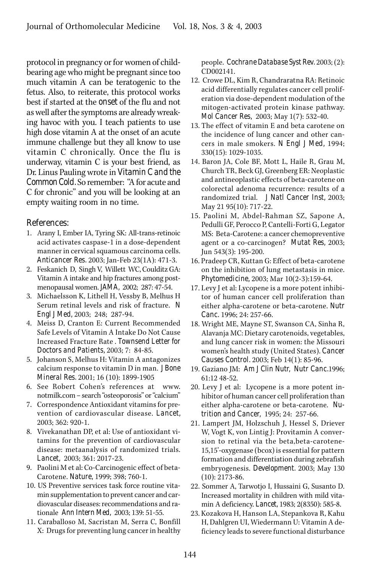protocol in pregnancy or for women of childbearing age who might be pregnant since too much vitamin A can be teratogenic to the fetus. Also, to reiterate, this protocol works best if started at the *onset* of the flu and not as well after the symptoms are already wreaking havoc with you. I teach patients to use high dose vitamin A at the onset of an acute immune challenge but they all know to use vitamin C chronically. Once the flu is underway, vitamin C is your best friend, as Dr. Linus Pauling wrote in *Vitamin C and the Common Cold.* So remember: "A for acute and C for chronic" and you will be looking at an empty waiting room in no time.

#### References:

- 1. Arany I, Ember IA, Tyring SK: All-trans-retinoic acid activates caspase-1 in a dose-dependent manner in cervical squamous carcinoma cells. *Anticancer Res.* 2003; Jan-Feb 23(1A): 471-3.
- 2. Feskanich D, Singh V, Willett WC, Coulditz GA: Vitamin A intake and hip fractures among postmenopausal women. *JAMA,* 2002; 287: 47-54.
- 3. Michaelsson K, Lithell H, Vessby B, Melhus H Serum retinal levels and risk of fracture. *N Engl J Med,* 2003; 248; 287-94.
- 4. Meiss D, Cranton E: Current Recommended Safe Levels of Vitamin A Intake Do Not Cause Increased Fracture Rate . *Townsend Letter for Doctors and Patients,* 2003; 7: 84-85.
- 5. Johanson S, Melhus H: Vitamin A antagonizes calcium response to vitamin D in man. *J Bone Mineral Res.* 2001; 16 (10): 1899-1905
- 6. See Robert Cohen's references at www. notmilk.com – search "osteoporosis" or "calcium"
- 7. Correspondence Antioxidant vitamins for prevention of cardiovascular disease. *Lancet,* 2003; 362: 920-1.
- 8. Vivekanathan DP, et al: Use of antioxidant vitamins for the prevention of cardiovascular disease: metaanalysis of randomized trials. *Lancet,* 2003; 361: 2017-23.
- 9. Paolini M et al: Co-Carcinogenic effect of beta-Carotene. *Nature,* 1999; 398; 760-1.
- 10. US Preventive services task force routine vitamin supplementation to prevent cancer and cardiovascular diseases: recommendations and rationale *Ann Intern Med,* 2003; 139: 51-55.
- 11. Caraballoso M, Sacristan M, Serra C, Bonfill X: Drugs for preventing lung cancer in healthy

people. *Cochrane Database Syst Rev.* 2003; (2): CD002141.

- 12. Crowe DL, Kim R, Chandraratna RA: Retinoic acid differentially regulates cancer cell proliferation via dose-dependent modulation of the mitogen-activated protein kinase pathway. *Mol Cancer Res,* 2003; May 1(7): 532-40.
- 13. The effect of vitamin E and beta carotene on the incidence of lung cancer and other cancers in male smokers. *N Engl J Med,* 1994; 330(15): 1029-1035.
- 14. Baron JA, Cole BF, Mott L, Haile R, Grau M, Church TR, Beck GJ, Greenberg ER: Neoplastic and antineoplastic effects of beta-carotene on colorectal adenoma recurrence: results of a randomized trial. *J Natl Cancer Inst,* 2003; May 21 95(10): 717-22.
- 15. Paolini M, Abdel-Rahman SZ, Sapone A, Pedulli GF, Perocco P, Cantelli-Forti G, Legator MS: Beta-Carotene: a cancer chemopreventive agent or a co-carcinogen? *Mutat Res,* 2003; Jun 543(3): 195-200.
- 16. Pradeep CR, Kuttan G: Effect of beta-carotene on the inhibition of lung metastasis in mice. *Phytomedicine,* 2003; Mar 10(2-3):159-64.
- 17. Levy J et al: Lycopene is a more potent inhibitor of human cancer cell proliferation than either alpha-carotene or beta-carotene. *Nutr Canc.* 1996; 24: 257-66.
- 18. Wright ME, Mayne ST, Swanson CA, Sinha R, Alavanja MC: Dietary carotenoids, vegetables, and lung cancer risk in women: the Missouri women's health study (United States). *Cancer Causes Control.* 2003; Feb 14(1): 85-96.
- 19. Gaziano JM: *Am J Clin Nutr, Nutr Canc.*1996; 61:12 48-52.
- 20. Levy J et al: Lycopene is a more potent inhibitor of human cancer cell proliferation than either alpha-carotene or beta-carotene. *Nutrition and Cancer,* 1995; 24: 257-66.
- 21. Lampert JM, Holzschuh J, Hessel S, Driever W, Vogt K, von Lintig J: Provitamin A conversion to retinal via the beta,beta-carotene-15,15'-oxygenase (bcox) is essential for pattern formation and differentiation during zebrafish embryogenesis. *Development.* 2003; May 130 (10): 2173-86.
- 22. Sommer A, Tarwotjo I, Hussaini G, Susanto D. Increased mortality in children with mild vitamin A deficiency. *Lancet,* 1983; 2(8350): 585-8.
- 23. Kozakova H, Hanson LA, Stepankova R, Kahu H, Dahlgren UI, Wiedermann U: Vitamin A deficiency leads to severe functional disturbance